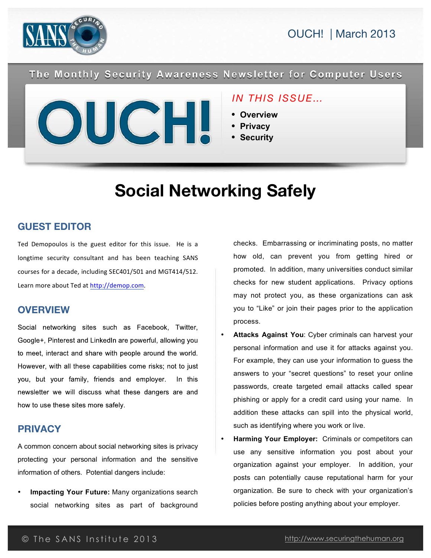

The Monthly Security Awareness Newsletter for Computer Users



### *IN THIS ISSUE…*

- **Overview**
- **Privacy**
- **Security**

# **Social Networking Safely**

#### **GUEST EDITOR**

Ted Demopoulos is the guest editor for this issue. He is a longtime security consultant and has been teaching SANS courses for a decade, including SEC401/501 and MGT414/512. Learn more about Ted at http://demop.com.

#### **OVERVIEW**

Social networking sites such as Facebook, Twitter, Google+, Pinterest and LinkedIn are powerful, allowing you to meet, interact and share with people around the world. However, with all these capabilities come risks; not to just you, but your family, friends and employer. In this newsletter we will discuss what these dangers are and how to use these sites more safely.

### **PRIVACY**

A common concern about social networking sites is privacy protecting your personal information and the sensitive information of others. Potential dangers include:

• **Impacting Your Future:** Many organizations search social networking sites as part of background

checks. Embarrassing or incriminating posts, no matter how old, can prevent you from getting hired or promoted. In addition, many universities conduct similar checks for new student applications. Privacy options may not protect you, as these organizations can ask you to "Like" or join their pages prior to the application process.

- Attacks Against You: Cyber criminals can harvest your personal information and use it for attacks against you. For example, they can use your information to guess the answers to your "secret questions" to reset your online passwords, create targeted email attacks called spear phishing or apply for a credit card using your name. In addition these attacks can spill into the physical world, such as identifying where you work or live.
- **Harming Your Employer:** Criminals or competitors can use any sensitive information you post about your organization against your employer. In addition, your posts can potentially cause reputational harm for your organization. Be sure to check with your organization's policies before posting anything about your employer.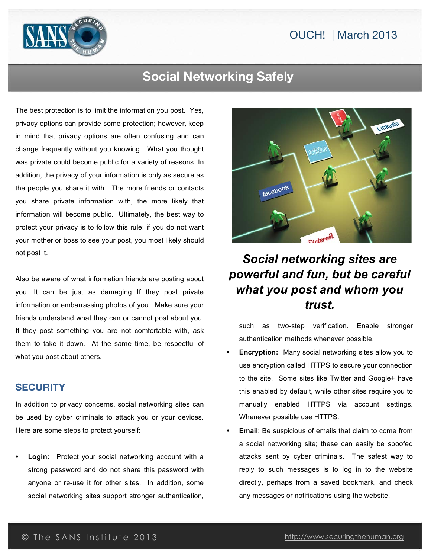

## **Social Networking Safely**

The best protection is to limit the information you post. Yes, privacy options can provide some protection; however, keep in mind that privacy options are often confusing and can change frequently without you knowing. What you thought was private could become public for a variety of reasons. In addition, the privacy of your information is only as secure as the people you share it with. The more friends or contacts you share private information with, the more likely that information will become public. Ultimately, the best way to protect your privacy is to follow this rule: if you do not want your mother or boss to see your post, you most likely should not post it.

Also be aware of what information friends are posting about you. It can be just as damaging If they post private information or embarrassing photos of you. Make sure your friends understand what they can or cannot post about you. If they post something you are not comfortable with, ask them to take it down. At the same time, be respectful of what you post about others.

#### **SECURITY**

In addition to privacy concerns, social networking sites can be used by cyber criminals to attack you or your devices. Here are some steps to protect yourself:

Login: Protect your social networking account with a strong password and do not share this password with anyone or re-use it for other sites. In addition, some social networking sites support stronger authentication,



# *Social networking sites are powerful and fun, but be careful what you post and whom you trust.*

such as two-step verification. Enable stronger authentication methods whenever possible.

- **Encryption:** Many social networking sites allow you to use encryption called HTTPS to secure your connection to the site. Some sites like Twitter and Google+ have this enabled by default, while other sites require you to manually enabled HTTPS via account settings. Whenever possible use HTTPS.
- **Email:** Be suspicious of emails that claim to come from a social networking site; these can easily be spoofed attacks sent by cyber criminals. The safest way to reply to such messages is to log in to the website directly, perhaps from a saved bookmark, and check any messages or notifications using the website.